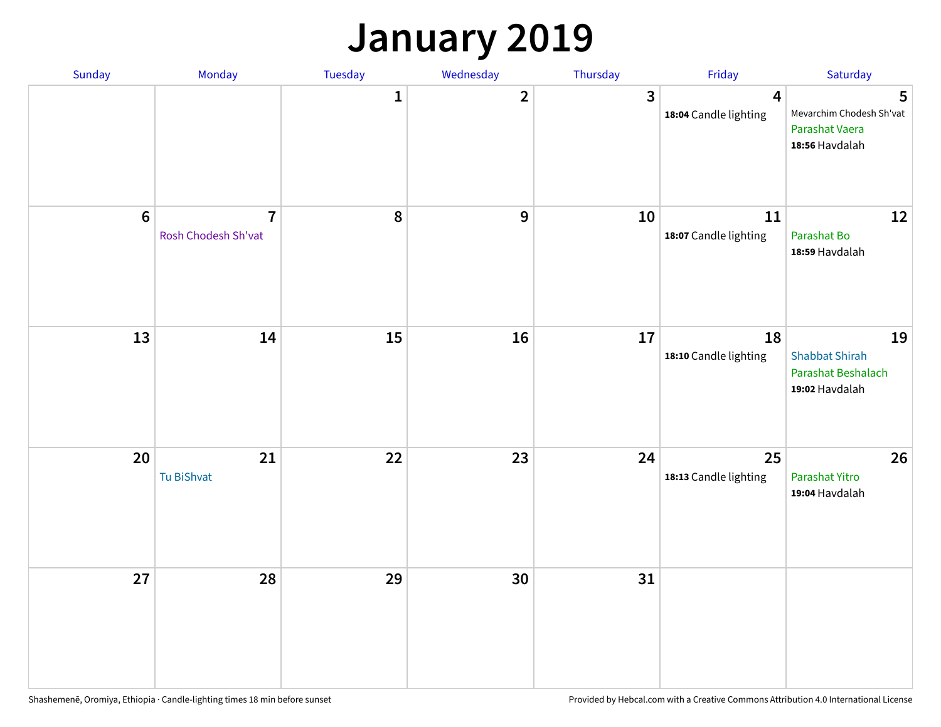### **January 2019**

| Sunday | Monday                                | Tuesday      | Wednesday    | Thursday                | Friday                                           | Saturday                                                            |
|--------|---------------------------------------|--------------|--------------|-------------------------|--------------------------------------------------|---------------------------------------------------------------------|
|        |                                       | $\mathbf{1}$ | $\mathbf{2}$ | $\overline{\mathbf{3}}$ | $\overline{\mathbf{4}}$<br>18:04 Candle lighting | 5<br>Mevarchim Chodesh Sh'vat<br>Parashat Vaera<br>18:56 Havdalah   |
| $6\,$  | $\overline{7}$<br>Rosh Chodesh Sh'vat | 8            | 9            | 10                      | 11<br>18:07 Candle lighting                      | 12<br>Parashat Bo<br>18:59 Havdalah                                 |
| 13     | 14                                    | 15           | 16           | 17                      | 18<br>18:10 Candle lighting                      | 19<br><b>Shabbat Shirah</b><br>Parashat Beshalach<br>19:02 Havdalah |
| 20     | 21<br>Tu BiShvat                      | 22           | 23           | 24                      | 25<br>18:13 Candle lighting                      | 26<br>Parashat Yitro<br>19:04 Havdalah                              |
| 27     | 28                                    | 29           | 30           | 31                      |                                                  |                                                                     |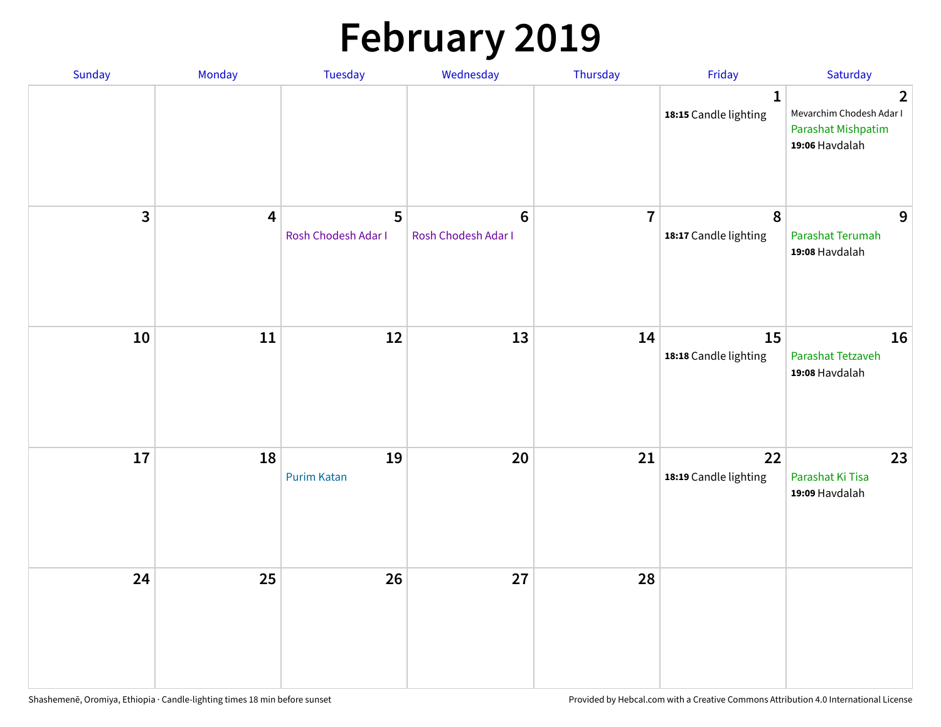# **February 2019**

| Sunday | Monday                  | Tuesday                  | Wednesday                      | Thursday       | Friday                                    | Saturday                                                                           |
|--------|-------------------------|--------------------------|--------------------------------|----------------|-------------------------------------------|------------------------------------------------------------------------------------|
|        |                         |                          |                                |                | $\mathbf{1}$<br>18:15 Candle lighting     | $\overline{2}$<br>Mevarchim Chodesh Adar I<br>Parashat Mishpatim<br>19:06 Havdalah |
| 3      | $\overline{\mathbf{4}}$ | 5<br>Rosh Chodesh Adar I | $\bf 6$<br>Rosh Chodesh Adar I | $\overline{7}$ | $\boldsymbol{8}$<br>18:17 Candle lighting | 9<br>Parashat Terumah<br>19:08 Havdalah                                            |
| 10     | ${\bf 11}$              | 12                       | 13                             | 14             | 15<br>18:18 Candle lighting               | 16<br>Parashat Tetzaveh<br>19:08 Havdalah                                          |
| 17     | 18                      | 19<br><b>Purim Katan</b> | 20                             | 21             | 22<br>18:19 Candle lighting               | 23<br>Parashat Ki Tisa<br>19:09 Havdalah                                           |
| 24     | 25                      | 26                       | 27                             | 28             |                                           |                                                                                    |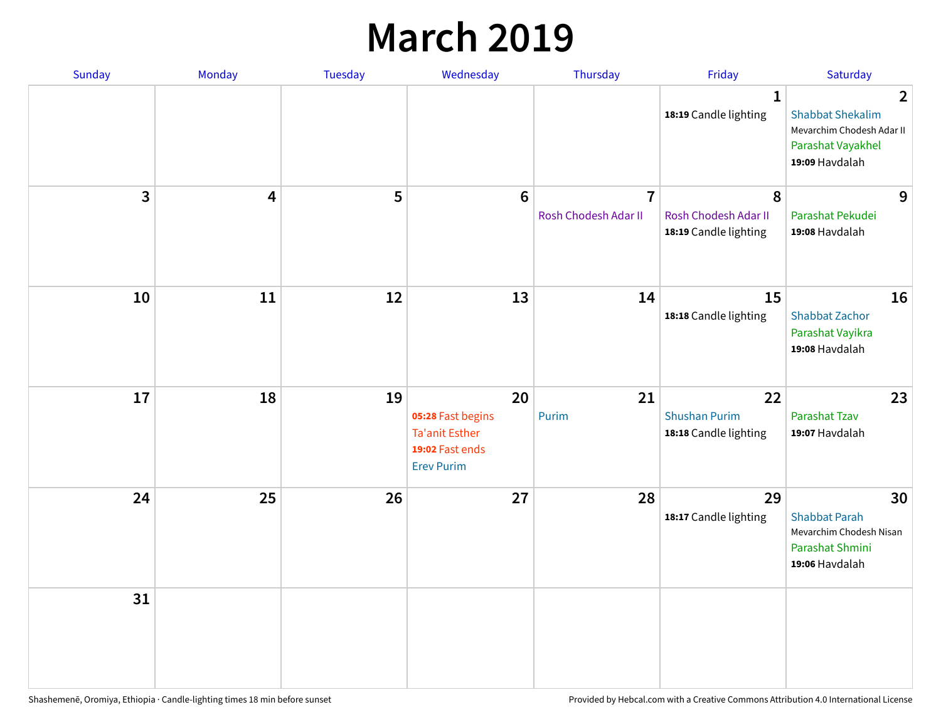### **March 2019**

| Sunday         | Monday | Tuesday | Wednesday                                                                                | Thursday                               | Friday                                              | Saturday                                                                                                      |
|----------------|--------|---------|------------------------------------------------------------------------------------------|----------------------------------------|-----------------------------------------------------|---------------------------------------------------------------------------------------------------------------|
|                |        |         |                                                                                          |                                        | $\mathbf{1}$<br>18:19 Candle lighting               | $\overline{2}$<br><b>Shabbat Shekalim</b><br>Mevarchim Chodesh Adar II<br>Parashat Vayakhel<br>19:09 Havdalah |
| $\overline{3}$ | 4      | 5       | $6\phantom{1}6$                                                                          | $\overline{7}$<br>Rosh Chodesh Adar II | 8<br>Rosh Chodesh Adar II<br>18:19 Candle lighting  | 9<br>Parashat Pekudei<br>19:08 Havdalah                                                                       |
| 10             | 11     | 12      | 13                                                                                       | 14                                     | 15<br>18:18 Candle lighting                         | 16<br><b>Shabbat Zachor</b><br>Parashat Vayikra<br>19:08 Havdalah                                             |
| 17             | 18     | 19      | 20<br>05:28 Fast begins<br><b>Ta'anit Esther</b><br>19:02 Fast ends<br><b>Erev Purim</b> | 21<br>Purim                            | 22<br><b>Shushan Purim</b><br>18:18 Candle lighting | 23<br><b>Parashat Tzav</b><br>19:07 Havdalah                                                                  |
| 24             | 25     | 26      | 27                                                                                       | 28                                     | 29<br>18:17 Candle lighting                         | 30<br><b>Shabbat Parah</b><br>Mevarchim Chodesh Nisan<br>Parashat Shmini<br>19:06 Havdalah                    |
| 31             |        |         |                                                                                          |                                        |                                                     |                                                                                                               |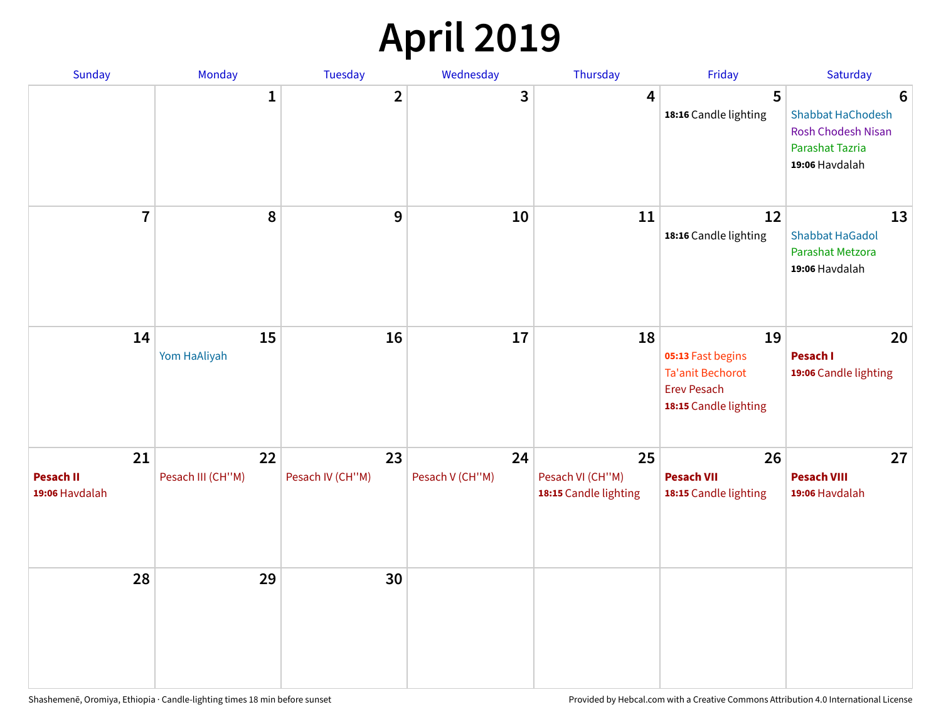## **April 2019**

| Sunday                                   | Monday                  | Tuesday                | Wednesday             | Thursday                                        | Friday                                                                                            | Saturday                                                                                               |
|------------------------------------------|-------------------------|------------------------|-----------------------|-------------------------------------------------|---------------------------------------------------------------------------------------------------|--------------------------------------------------------------------------------------------------------|
|                                          | $\mathbf{1}$            | $\overline{2}$         | 3                     | $\overline{4}$                                  | 5<br>18:16 Candle lighting                                                                        | $6\phantom{1}6$<br>Shabbat HaChodesh<br><b>Rosh Chodesh Nisan</b><br>Parashat Tazria<br>19:06 Havdalah |
| $\overline{7}$                           | 8                       | $\boldsymbol{9}$       | 10                    | 11                                              | 12<br>18:16 Candle lighting                                                                       | 13<br><b>Shabbat HaGadol</b><br>Parashat Metzora<br>19:06 Havdalah                                     |
| 14                                       | 15<br>Yom HaAliyah      | 16                     | 17                    | 18                                              | 19<br>05:13 Fast begins<br><b>Ta'anit Bechorot</b><br><b>Erev Pesach</b><br>18:15 Candle lighting | 20<br>Pesach I<br>19:06 Candle lighting                                                                |
| 21<br><b>Pesach II</b><br>19:06 Havdalah | 22<br>Pesach III (CH"M) | 23<br>Pesach IV (CH"M) | 24<br>Pesach V (CH"M) | 25<br>Pesach VI (CH"M)<br>18:15 Candle lighting | 26<br><b>Pesach VII</b><br>18:15 Candle lighting                                                  | 27<br><b>Pesach VIII</b><br>19:06 Havdalah                                                             |
| 28                                       | 29                      | 30                     |                       |                                                 |                                                                                                   |                                                                                                        |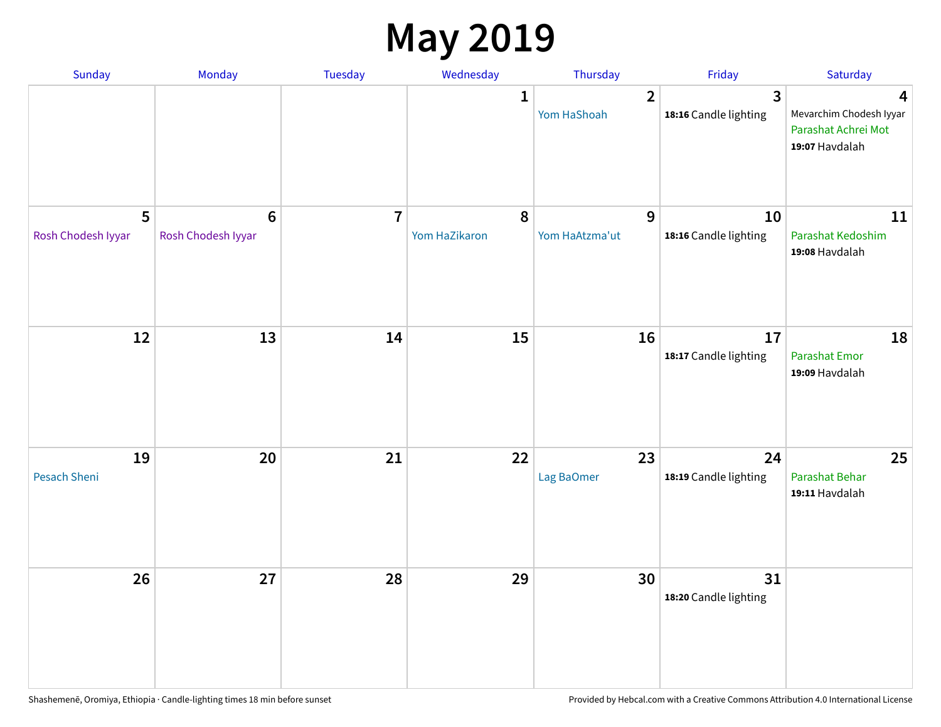### **May 2019**

| Sunday                  | Monday                                | Tuesday        | Wednesday          | Thursday                      | Friday                                | Saturday                                                              |
|-------------------------|---------------------------------------|----------------|--------------------|-------------------------------|---------------------------------------|-----------------------------------------------------------------------|
|                         |                                       |                | 1                  | $\overline{2}$<br>Yom HaShoah | $\mathbf{3}$<br>18:16 Candle lighting | 4<br>Mevarchim Chodesh Iyyar<br>Parashat Achrei Mot<br>19:07 Havdalah |
| 5<br>Rosh Chodesh Iyyar | $6\phantom{1}6$<br>Rosh Chodesh Iyyar | $\overline{7}$ | 8<br>Yom HaZikaron | 9<br>Yom HaAtzma'ut           | 10<br>18:16 Candle lighting           | 11<br>Parashat Kedoshim<br>19:08 Havdalah                             |
| 12                      | 13                                    | 14             | 15                 | 16                            | 17<br>18:17 Candle lighting           | 18<br><b>Parashat Emor</b><br>19:09 Havdalah                          |
| 19<br>Pesach Sheni      | 20                                    | 21             | 22                 | 23<br>Lag BaOmer              | 24<br>18:19 Candle lighting           | 25<br>Parashat Behar<br>19:11 Havdalah                                |
| 26                      | 27                                    | 28             | 29                 | 30                            | 31<br>18:20 Candle lighting           |                                                                       |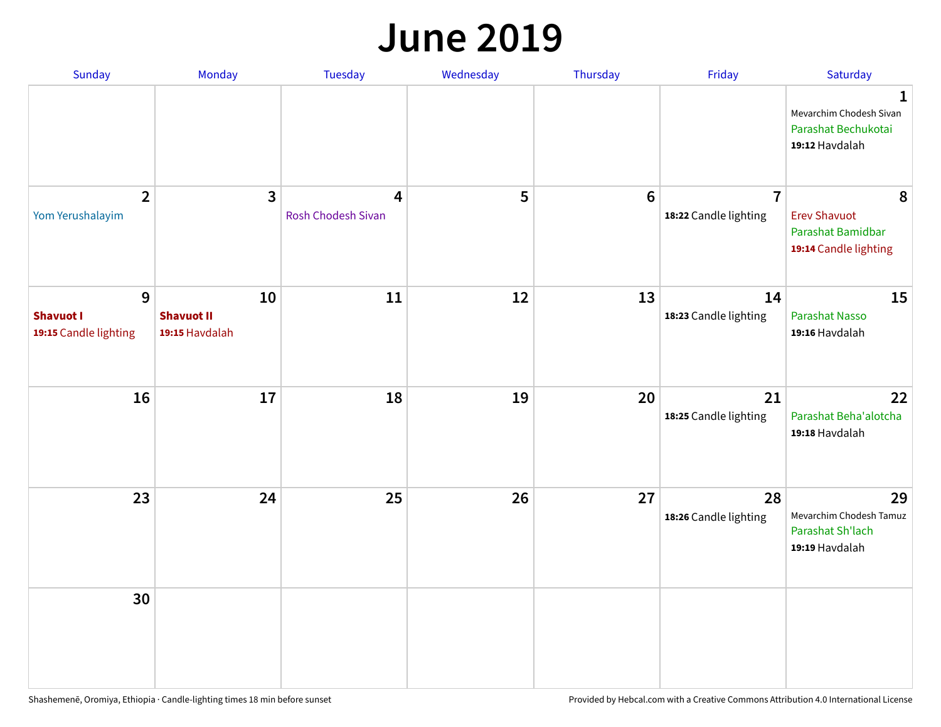#### **June 2019**

| Sunday                                         | Monday                                    | Tuesday                        | Wednesday | Thursday        | Friday                                  | Saturday                                                               |
|------------------------------------------------|-------------------------------------------|--------------------------------|-----------|-----------------|-----------------------------------------|------------------------------------------------------------------------|
|                                                |                                           |                                |           |                 |                                         | 1<br>Mevarchim Chodesh Sivan<br>Parashat Bechukotai<br>19:12 Havdalah  |
| $\overline{2}$<br>Yom Yerushalayim             | $\mathbf{3}$                              | 4<br><b>Rosh Chodesh Sivan</b> | 5         | $6\phantom{1}6$ | $\overline{7}$<br>18:22 Candle lighting | 8<br><b>Erev Shavuot</b><br>Parashat Bamidbar<br>19:14 Candle lighting |
| 9<br><b>Shavuot I</b><br>19:15 Candle lighting | 10<br><b>Shavuot II</b><br>19:15 Havdalah | 11                             | 12        | 13              | 14<br>18:23 Candle lighting             | 15<br><b>Parashat Nasso</b><br>19:16 Havdalah                          |
| 16                                             | 17                                        | 18                             | 19        | 20              | 21<br>18:25 Candle lighting             | 22<br>Parashat Beha'alotcha<br>19:18 Havdalah                          |
| 23                                             | 24                                        | 25                             | 26        | 27              | 28<br>18:26 Candle lighting             | 29<br>Mevarchim Chodesh Tamuz<br>Parashat Sh'lach<br>19:19 Havdalah    |
| 30                                             |                                           |                                |           |                 |                                         |                                                                        |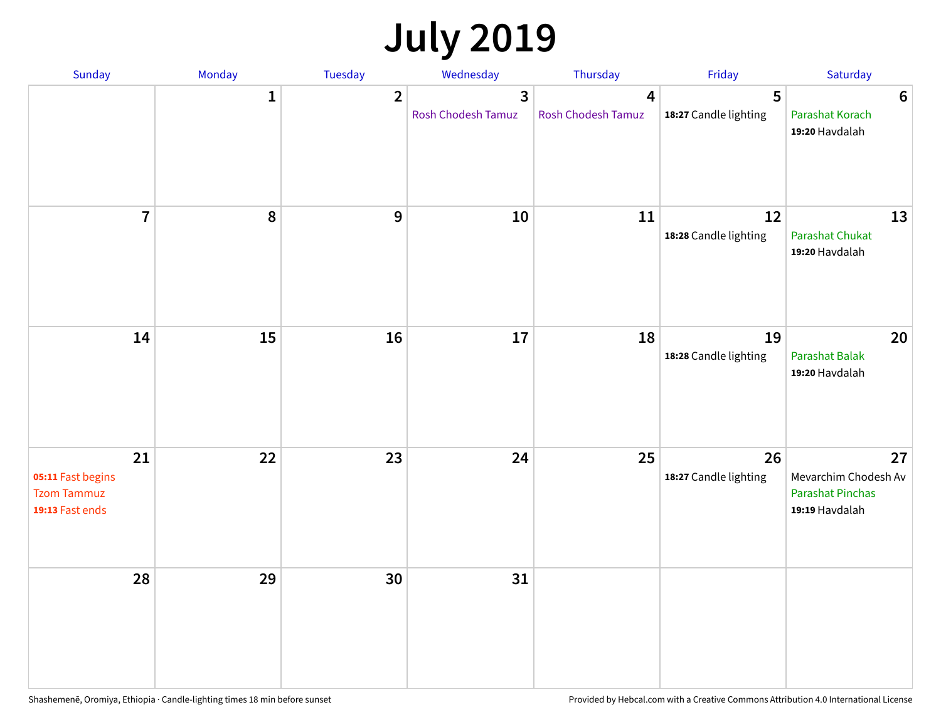## **July 2019**

| Sunday                                                           | Monday       | Tuesday        | Wednesday                                   | Thursday                | Friday                      | Saturday                                                                |
|------------------------------------------------------------------|--------------|----------------|---------------------------------------------|-------------------------|-----------------------------|-------------------------------------------------------------------------|
|                                                                  | $\mathbf{1}$ | $\overline{2}$ | $\overline{3}$<br><b>Rosh Chodesh Tamuz</b> | 4<br>Rosh Chodesh Tamuz | 5<br>18:27 Candle lighting  | $6\phantom{1}6$<br>Parashat Korach<br>19:20 Havdalah                    |
| $\overline{7}$                                                   | 8            | $\overline{9}$ | 10                                          | 11                      | 12<br>18:28 Candle lighting | 13<br><b>Parashat Chukat</b><br>19:20 Havdalah                          |
| 14                                                               | 15           | 16             | 17                                          | 18                      | 19<br>18:28 Candle lighting | 20<br><b>Parashat Balak</b><br>19:20 Havdalah                           |
| 21<br>05:11 Fast begins<br><b>Tzom Tammuz</b><br>19:13 Fast ends | 22           | 23             | 24                                          | 25                      | 26<br>18:27 Candle lighting | 27<br>Mevarchim Chodesh Av<br><b>Parashat Pinchas</b><br>19:19 Havdalah |
| 28                                                               | 29           | 30             | 31                                          |                         |                             |                                                                         |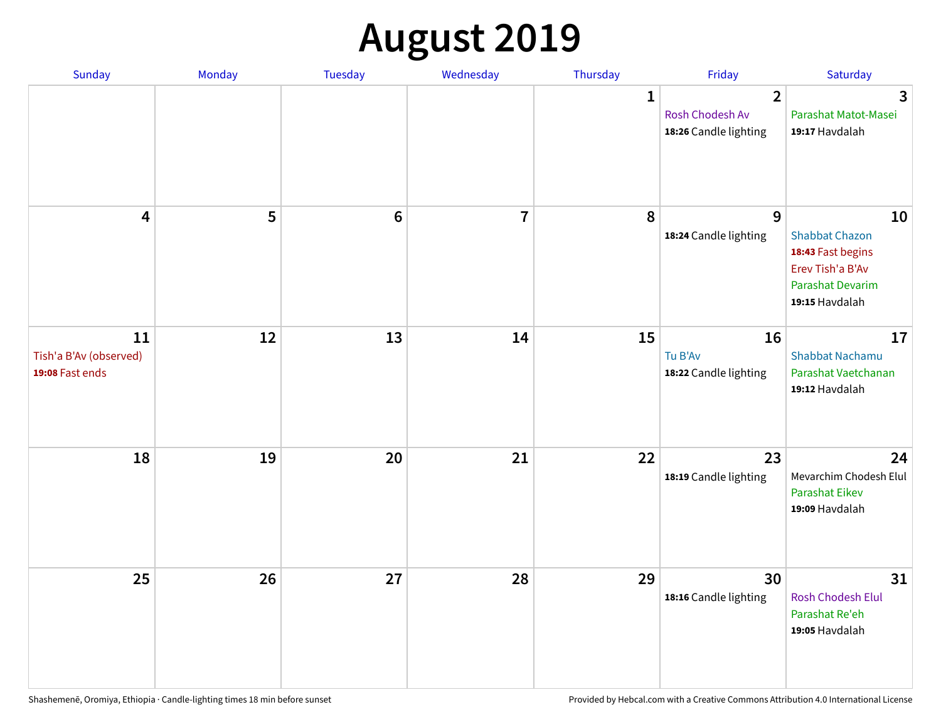## **August 2019**

| Sunday                                          | Monday | Tuesday         | Wednesday      | Thursday     | Friday                                                     | Saturday                                                                                                   |
|-------------------------------------------------|--------|-----------------|----------------|--------------|------------------------------------------------------------|------------------------------------------------------------------------------------------------------------|
|                                                 |        |                 |                | $\mathbf{1}$ | $\overline{2}$<br>Rosh Chodesh Av<br>18:26 Candle lighting | $\overline{3}$<br>Parashat Matot-Masei<br>19:17 Havdalah                                                   |
| $\overline{\mathbf{4}}$                         | 5      | $6\phantom{1}6$ | $\overline{7}$ | 8            | 9<br>18:24 Candle lighting                                 | 10<br><b>Shabbat Chazon</b><br>18:43 Fast begins<br>Erev Tish'a B'Av<br>Parashat Devarim<br>19:15 Havdalah |
| 11<br>Tish'a B'Av (observed)<br>19:08 Fast ends | 12     | 13              | 14             | 15           | 16<br>Tu B'Av<br>18:22 Candle lighting                     | 17<br><b>Shabbat Nachamu</b><br>Parashat Vaetchanan<br>19:12 Havdalah                                      |
| 18                                              | 19     | 20              | 21             | 22           | 23<br>18:19 Candle lighting                                | 24<br>Mevarchim Chodesh Elul<br><b>Parashat Eikev</b><br>19:09 Havdalah                                    |
| 25                                              | 26     | 27              | 28             | 29           | 30<br>18:16 Candle lighting                                | 31<br><b>Rosh Chodesh Elul</b><br>Parashat Re'eh<br>19:05 Havdalah                                         |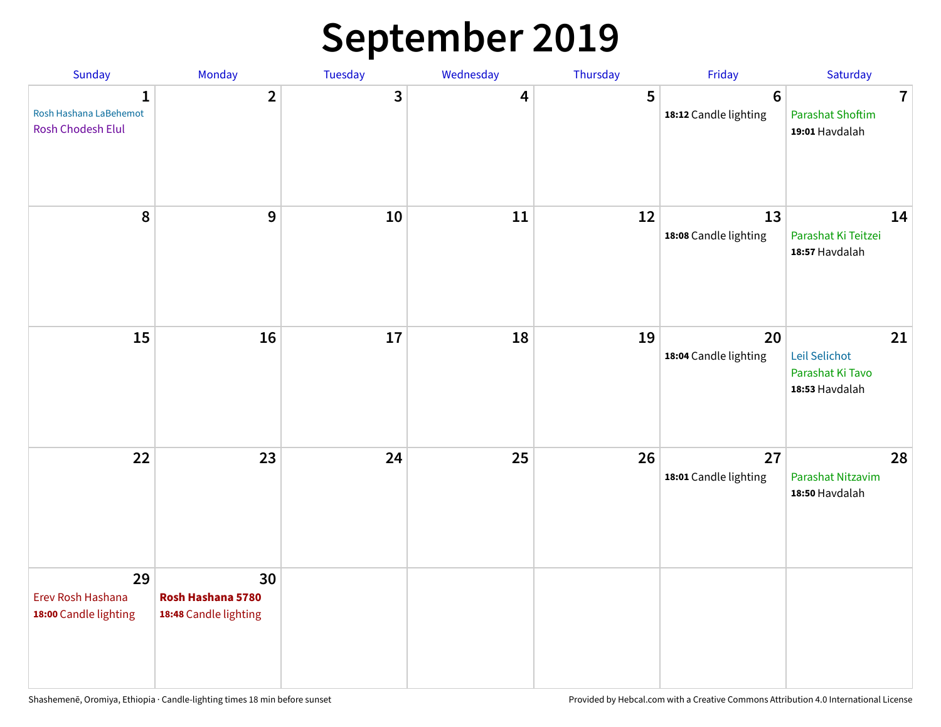### **September 2019**

| Sunday                                                      | Monday                                           | Tuesday | Wednesday | Thursday | Friday                                   | Saturday                                                             |
|-------------------------------------------------------------|--------------------------------------------------|---------|-----------|----------|------------------------------------------|----------------------------------------------------------------------|
| $\mathbf{1}$<br>Rosh Hashana LaBehemot<br>Rosh Chodesh Elul | $\overline{2}$                                   | 3       | 4         | 5        | $6\phantom{1}6$<br>18:12 Candle lighting | $\overline{\mathbf{7}}$<br><b>Parashat Shoftim</b><br>19:01 Havdalah |
| 8                                                           | 9                                                | 10      | 11        | 12       | 13<br>18:08 Candle lighting              | 14<br>Parashat Ki Teitzei<br>18:57 Havdalah                          |
| 15                                                          | 16                                               | 17      | 18        | 19       | 20<br>18:04 Candle lighting              | 21<br>Leil Selichot<br>Parashat Ki Tavo<br>18:53 Havdalah            |
| 22                                                          | 23                                               | 24      | 25        | 26       | 27<br>18:01 Candle lighting              | 28<br>Parashat Nitzavim<br>18:50 Havdalah                            |
| 29<br>Erev Rosh Hashana<br>18:00 Candle lighting            | 30<br>Rosh Hashana 5780<br>18:48 Candle lighting |         |           |          |                                          |                                                                      |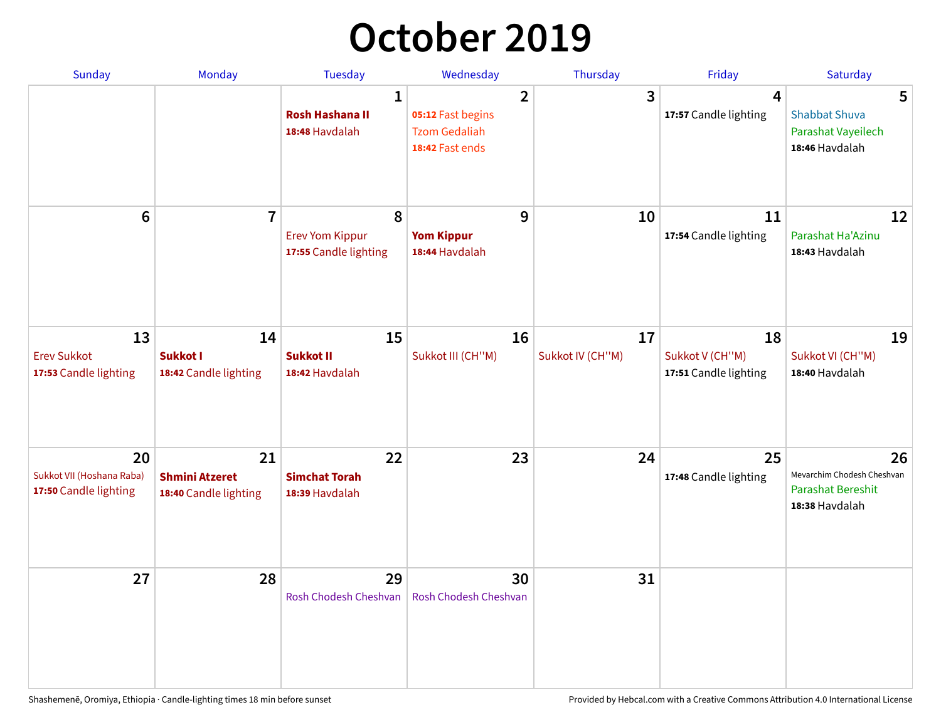## **October 2019**

| <b>Sunday</b>                                            | <b>Monday</b>                                        | <b>Tuesday</b>                                           | Wednesday                                                                      | Thursday               | Friday                                           | Saturday                                                                       |
|----------------------------------------------------------|------------------------------------------------------|----------------------------------------------------------|--------------------------------------------------------------------------------|------------------------|--------------------------------------------------|--------------------------------------------------------------------------------|
|                                                          |                                                      | $\mathbf{1}$<br><b>Rosh Hashana II</b><br>18:48 Havdalah | $\overline{2}$<br>05:12 Fast begins<br><b>Tzom Gedaliah</b><br>18:42 Fast ends | 3                      | $\overline{\mathbf{4}}$<br>17:57 Candle lighting | 5<br><b>Shabbat Shuva</b><br>Parashat Vayeilech<br>18:46 Havdalah              |
| $6\phantom{1}$                                           | $\overline{7}$                                       | 8<br><b>Erev Yom Kippur</b><br>17:55 Candle lighting     | 9<br><b>Yom Kippur</b><br>18:44 Havdalah                                       | 10                     | 11<br>17:54 Candle lighting                      | 12<br>Parashat Ha'Azinu<br>18:43 Havdalah                                      |
| 13<br><b>Erev Sukkot</b><br>17:53 Candle lighting        | 14<br>Sukkot I<br>18:42 Candle lighting              | 15<br><b>Sukkot II</b><br>18:42 Havdalah                 | 16<br>Sukkot III (CH"M)                                                        | 17<br>Sukkot IV (CH"M) | 18<br>Sukkot V (CH"M)<br>17:51 Candle lighting   | 19<br>Sukkot VI (CH"M)<br>18:40 Havdalah                                       |
| 20<br>Sukkot VII (Hoshana Raba)<br>17:50 Candle lighting | 21<br><b>Shmini Atzeret</b><br>18:40 Candle lighting | 22<br><b>Simchat Torah</b><br>18:39 Havdalah             | 23                                                                             | 24                     | 25<br>17:48 Candle lighting                      | 26<br>Mevarchim Chodesh Cheshvan<br><b>Parashat Bereshit</b><br>18:38 Havdalah |
| 27                                                       | 28                                                   | 29<br>Rosh Chodesh Cheshvan                              | 30<br>Rosh Chodesh Cheshvan                                                    | 31                     |                                                  |                                                                                |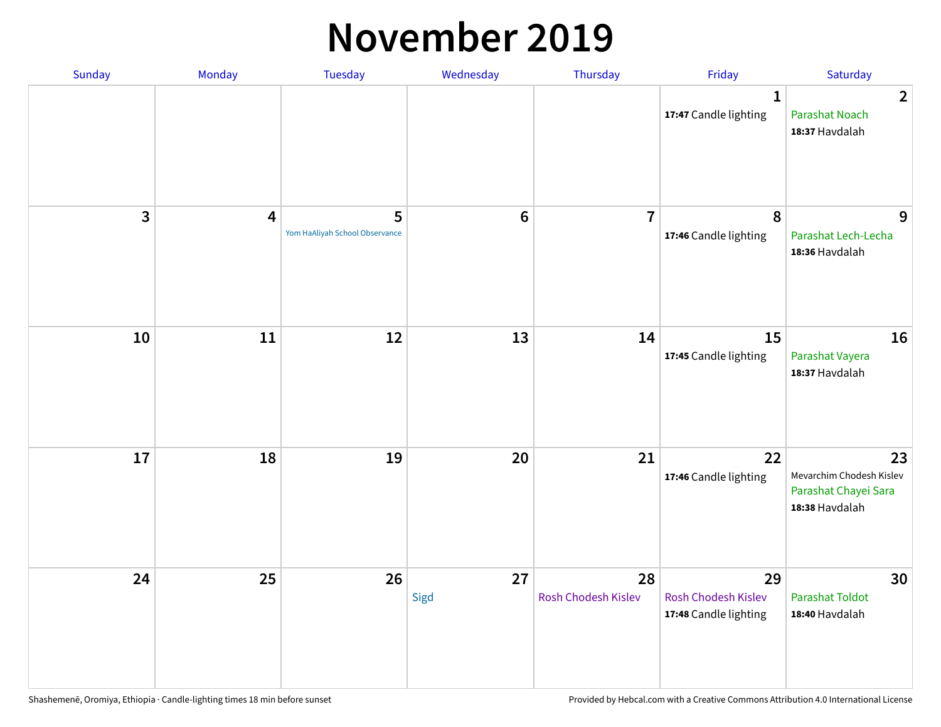#### **November 2019**

| Sunday | Monday                  | <b>Tuesday</b>                      | Wednesday      | Thursday                  | Friday                                                    | Saturday                                                                 |
|--------|-------------------------|-------------------------------------|----------------|---------------------------|-----------------------------------------------------------|--------------------------------------------------------------------------|
|        |                         |                                     |                |                           | $\mathbf 1$<br>17:47 Candle lighting                      | $\overline{2}$<br><b>Parashat Noach</b><br>18:37 Havdalah                |
| 3      | $\overline{\mathbf{4}}$ | 5<br>Yom HaAliyah School Observance | $6\phantom{1}$ | $\overline{7}$            | $\pmb{8}$<br>17:46 Candle lighting                        | 9<br>Parashat Lech-Lecha<br>18:36 Havdalah                               |
| 10     | 11                      | 12                                  | 13             | 14                        | 15<br>17:45 Candle lighting                               | 16<br>Parashat Vayera<br>18:37 Havdalah                                  |
| 17     | 18                      | 19                                  | 20             | 21                        | 22<br>17:46 Candle lighting                               | 23<br>Mevarchim Chodesh Kislev<br>Parashat Chayei Sara<br>18:38 Havdalah |
| 24     | 25                      | 26                                  | 27<br>Sigd     | 28<br>Rosh Chodesh Kislev | 29<br><b>Rosh Chodesh Kislev</b><br>17:48 Candle lighting | 30<br><b>Parashat Toldot</b><br>18:40 Havdalah                           |